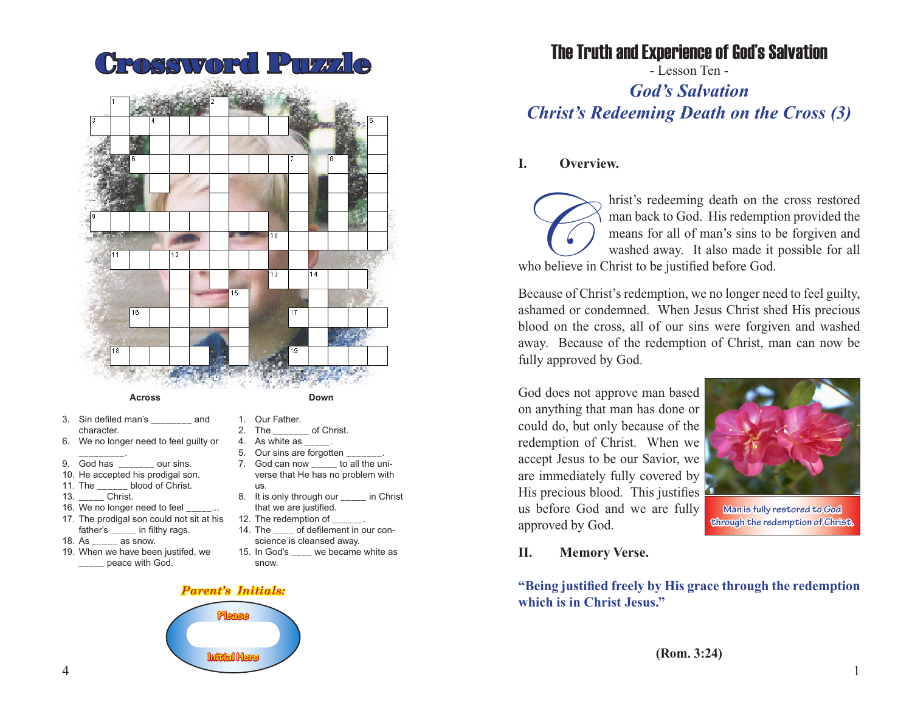

#### **Across**

- 3. Sin defiled man's and character.
- 6. We no longer need to feel guilty or
- \_\_\_\_\_\_\_\_\_. 9. God has \_\_\_\_\_\_\_ our sins.
- 10. He accepted his prodigal son.
- 11. The blood of Christ.
- 13. \_\_\_\_\_ Christ.
- 16. We no longer need to feel
- 17. The prodigal son could not sit at his father's \_\_\_\_\_ in filthy rags.
- 18. As \_\_\_\_\_ as snow.
- 19. When we have been justifed, we \_\_\_\_\_ peace with God.
- **Down**
- 1. Our Father.
- 2. The of Christ.
- 4. As white as  $\frac{1}{1}$ .
- 5. Our sins are forgotten 7. God can now to all the uni
	- verse that He has no problem with us.
- 8. It is only through our \_\_\_\_\_ in Christ that we are justified.
- 12. The redemption of
- 14. The of defilement in our conscience is cleansed away.
- 15. In God's \_\_\_\_ we became white as snow.

### *Parent's Initials:*



## The Truth and Experience of God's Salvation

- Lesson Ten - *God's Salvation Christ's Redeeming Death on the Cross (3)*

### **I. Overview.**

hrist's redeeming death on the cross restored man back to God. His redemption provided the means for all of man's sins to be forgiven and washed away. It also made it possible for all who believe in Christ to be justified before God.

Because of Christ's redemption, we no longer need to feel guilty, ashamed or condemned. When Jesus Christ shed His precious blood on the cross, all of our sins were forgiven and washed away. Because of the redemption of Christ, man can now be fully approved by God.

God does not approve man based on anything that man has done or could do, but only because of the redemption of Christ. When we accept Jesus to be our Savior, we are immediately fully covered by His precious blood. This justifies us before God and we are fully approved by God.



**Man is fully restored to God through the redemption of Christ.**

#### **II. Memory Verse.**

**"Being justified freely by His grace through the redemption which is in Christ Jesus."**